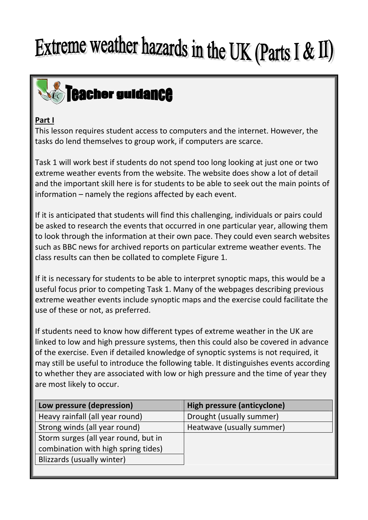# Extreme weather hazards in the UK (Parts I & II)



## **Part I**

This lesson requires student access to computers and the internet. However, the tasks do lend themselves to group work, if computers are scarce.

Task 1 will work best if students do not spend too long looking at just one or two extreme weather events from the website. The website does show a lot of detail and the important skill here is for students to be able to seek out the main points of information – namely the regions affected by each event.

If it is anticipated that students will find this challenging, individuals or pairs could be asked to research the events that occurred in one particular year, allowing them to look through the information at their own pace. They could even search websites such as BBC news for archived reports on particular extreme weather events. The class results can then be collated to complete Figure 1.

If it is necessary for students to be able to interpret synoptic maps, this would be a useful focus prior to competing Task 1. Many of the webpages describing previous extreme weather events include synoptic maps and the exercise could facilitate the use of these or not, as preferred.

If students need to know how different types of extreme weather in the UK are linked to low and high pressure systems, then this could also be covered in advance of the exercise. Even if detailed knowledge of synoptic systems is not required, it may still be useful to introduce the following table. It distinguishes events according to whether they are associated with low or high pressure and the time of year they are most likely to occur.

| Low pressure (depression)            | High pressure (anticyclone) |
|--------------------------------------|-----------------------------|
| Heavy rainfall (all year round)      | Drought (usually summer)    |
| Strong winds (all year round)        | Heatwave (usually summer)   |
| Storm surges (all year round, but in |                             |
| combination with high spring tides)  |                             |
| Blizzards (usually winter)           |                             |
|                                      |                             |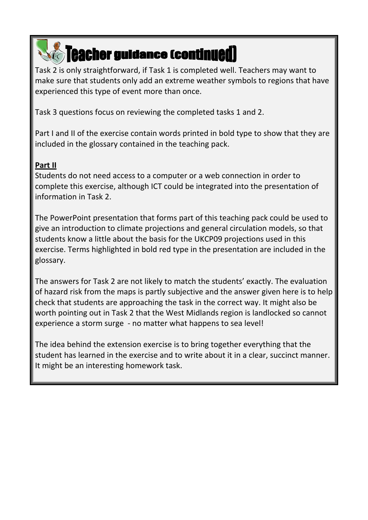

# *<b>Steel Teacher guidance (continued)*

Task 2 is only straightforward, if Task 1 is completed well. Teachers may want to make sure that students only add an extreme weather symbols to regions that have experienced this type of event more than once.

Task 3 questions focus on reviewing the completed tasks 1 and 2.

Part I and II of the exercise contain words printed in bold type to show that they are included in the glossary contained in the teaching pack.

# **Part II**

Students do not need access to a computer or a web connection in order to complete this exercise, although ICT could be integrated into the presentation of information in Task 2.

The PowerPoint presentation that forms part of this teaching pack could be used to give an introduction to climate projections and general circulation models, so that students know a little about the basis for the UKCP09 projections used in this exercise. Terms highlighted in bold red type in the presentation are included in the glossary.

The answers for Task 2 are not likely to match the students' exactly. The evaluation of hazard risk from the maps is partly subjective and the answer given here is to help check that students are approaching the task in the correct way. It might also be worth pointing out in Task 2 that the West Midlands region is landlocked so cannot experience a storm surge ‐ no matter what happens to sea level!

The idea behind the extension exercise is to bring together everything that the student has learned in the exercise and to write about it in a clear, succinct manner. It might be an interesting homework task.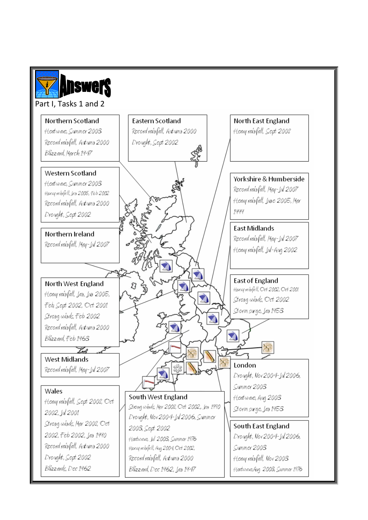

Record rainfall, Autumn 2000

Blizzard, Dec 1962, Jan 1947

Drought, Sept 2002

Blizzards, Dec 1962

Summer 2003 Heany rainfall, Nov 2003 Heatwave, Aug 2008, Summer 1976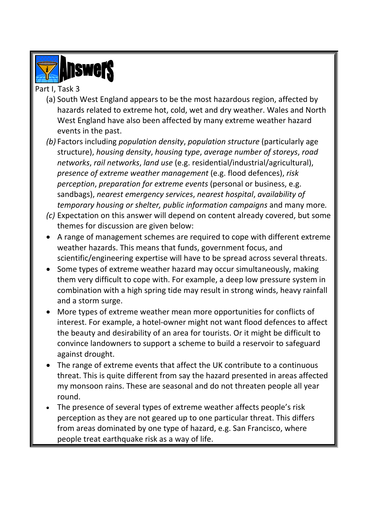

### Part I, Task 3

- (a) South West England appears to be the most hazardous region, affected by hazards related to extreme hot, cold, wet and dry weather. Wales and North West England have also been affected by many extreme weather hazard events in the past.
- *(b)* Factors including *population density*, *population structure* (particularly age structure), *housing density*, *housing type*, *average number of storeys*, *road networks*, *rail networks*, *land use* (e.g. residential/industrial/agricultural), *presence of extreme weather management* (e.g. flood defences), *risk perception*, *preparation for extreme events* (personal or business, e.g. sandbags), *nearest emergency services*, *nearest hospital*, *availability of temporary housing or shelter, public information campaigns* and many more*.*
- *(c)* Expectation on this answer will depend on content already covered, but some themes for discussion are given below:
- A range of management schemes are required to cope with different extreme weather hazards. This means that funds, government focus, and scientific/engineering expertise will have to be spread across several threats.
- Some types of extreme weather hazard may occur simultaneously, making them very difficult to cope with. For example, a deep low pressure system in combination with a high spring tide may result in strong winds, heavy rainfall and a storm surge.
- More types of extreme weather mean more opportunities for conflicts of interest. For example, a hotel‐owner might not want flood defences to affect the beauty and desirability of an area for tourists. Or it might be difficult to convince landowners to support a scheme to build a reservoir to safeguard against drought.
- The range of extreme events that affect the UK contribute to a continuous threat. This is quite different from say the hazard presented in areas affected my monsoon rains. These are seasonal and do not threaten people all year round.
- The presence of several types of extreme weather affects people's risk perception as they are not geared up to one particular threat. This differs from areas dominated by one type of hazard, e.g. San Francisco, where people treat earthquake risk as a way of life.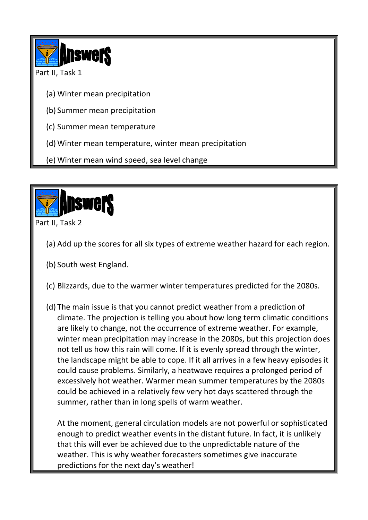

- (a) Winter mean precipitation
- (b) Summer mean precipitation
- (c) Summer mean temperature
- (d) Winter mean temperature, winter mean precipitation
- (e) Winter mean wind speed, sea level change



#### Part II, Task 2

- (a) Add up the scores for all six types of extreme weather hazard for each region.
- (b) South west England.
- (c) Blizzards, due to the warmer winter temperatures predicted for the 2080s.
- (d) The main issue is that you cannot predict weather from a prediction of climate. The projection is telling you about how long term climatic conditions are likely to change, not the occurrence of extreme weather. For example, winter mean precipitation may increase in the 2080s, but this projection does not tell us how this rain will come. If it is evenly spread through the winter, the landscape might be able to cope. If it all arrives in a few heavy episodes it could cause problems. Similarly, a heatwave requires a prolonged period of excessively hot weather. Warmer mean summer temperatures by the 2080s could be achieved in a relatively few very hot days scattered through the summer, rather than in long spells of warm weather.

At the moment, general circulation models are not powerful or sophisticated enough to predict weather events in the distant future. In fact, it is unlikely that this will ever be achieved due to the unpredictable nature of the weather. This is why weather forecasters sometimes give inaccurate predictions for the next day's weather!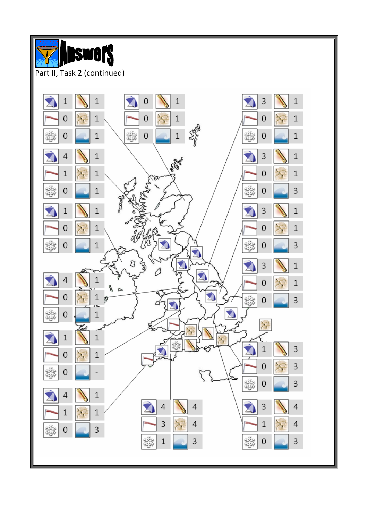